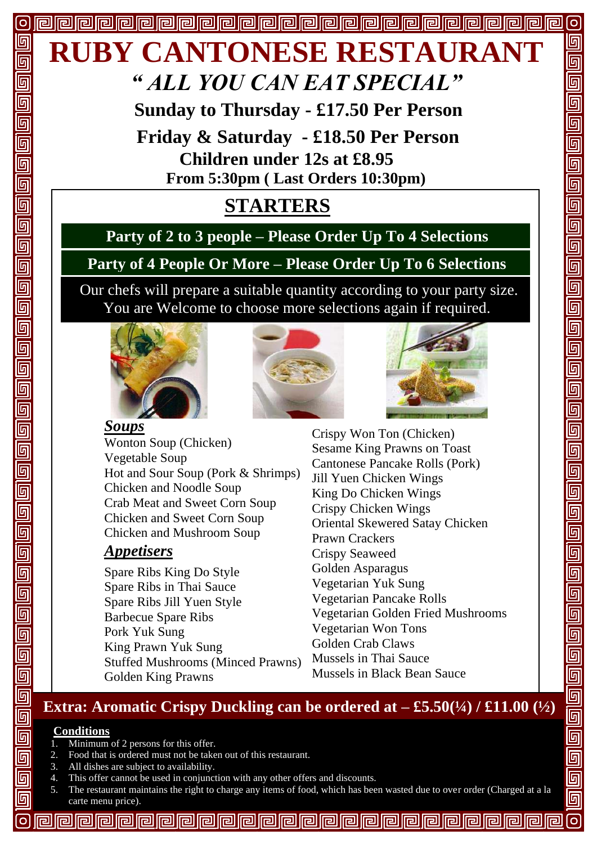

 **Sunday to Thursday - £17.50 Per Person**

 **Children under 12s at £8.95 From 5:30pm ( Last Orders 10:30pm) Friday & Saturday - £18.50 Per Person**

# **STARTERS**

## **Party of 2 to 3 people – Please Order Up To 4 Selections**

# **Party of 4 People Or More – Please Order Up To 6 Selections**

 Our chefs will prepare a suitable quantity according to your party size. You are Welcome to choose more selections again if required.







[o

回 回

回回回回

 $\overline{\overline{\mathbb{G}}}$ 

 $\overline{\overline{\mathbb{G}}}$ 

<u>ត្</u>

 $\overline{\mathsf{G}}$ 

 $\overline{\mathbb{F}}$  $\overline{\overline{\mathbb{G}}}$ 

<u>ត្</u>យ

 $\overline{\mathbb{G}}$ 

<u>ត្</u>

<u>ត្ប</u>

回

 $\overline{\mathbb{F}}$ 

 $\overline{\mathsf{G}}$ 

 $\overline{\mathbb{F}}$  $\overline{\mathbb{G}}$ 

 $\overline{\overline{\mathbb{G}}}$ 

 $\overline{\mathbb{F}}$ 

 $\overline{\mathbb{G}}$ 

<u>ត្</u>

 $\overline{\mathsf{G}}$ 

 $\overline{\mathsf{G}}$ 

 $\overline{\mathbb{G}}$ 

 $\overline{\overline{\mathbb{G}}}$ 

 $\overline{\mathbb{G}}$ 

olololololo

*Soups* Wonton Soup (Chicken) Vegetable Soup Hot and Sour Soup (Pork & Shrimps) Chicken and Noodle Soup Crab Meat and Sweet Corn Soup Chicken and Sweet Corn Soup Chicken and Mushroom Soup

#### *Appetisers*

Spare Ribs King Do Style Spare Ribs in Thai Sauce Spare Ribs Jill Yuen Style Barbecue Spare Ribs Pork Yuk Sung King Prawn Yuk Sung Stuffed Mushrooms (Minced Prawns) Golden King Prawns

Crispy Won Ton (Chicken) Sesame King Prawns on Toast Cantonese Pancake Rolls (Pork) Jill Yuen Chicken Wings King Do Chicken Wings Crispy Chicken Wings Oriental Skewered Satay Chicken Prawn Crackers Crispy Seaweed Golden Asparagus Vegetarian Yuk Sung Vegetarian Pancake Rolls Vegetarian Golden Fried Mushrooms Vegetarian Won Tons Golden Crab Claws Mussels in Thai Sauce Mussels in Black Bean Sauce

## **Extra:** Aromatic Crispy Duckling can be ordered at  $-$  £5.50( $\frac{1}{4}$ ) / £11.00 ( $\frac{1}{2}$ )

#### **Conditions**

- 1. Minimum of 2 persons for this offer.
- 2. Food that is ordered must not be taken out of this restaurant.
- 3. All dishes are subject to availability.
- 4. This offer cannot be used in conjunction with any other offers and discounts.
- 5. The restaurant maintains the right to charge any items of food, which has been wasted due to over order (Charged at a la carte menu price).